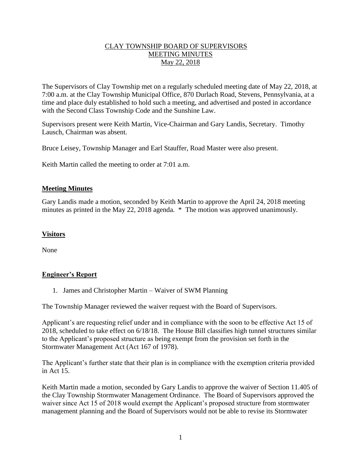## CLAY TOWNSHIP BOARD OF SUPERVISORS MEETING MINUTES May 22, 2018

The Supervisors of Clay Township met on a regularly scheduled meeting date of May 22, 2018, at 7:00 a.m. at the Clay Township Municipal Office, 870 Durlach Road, Stevens, Pennsylvania, at a time and place duly established to hold such a meeting, and advertised and posted in accordance with the Second Class Township Code and the Sunshine Law.

Supervisors present were Keith Martin, Vice-Chairman and Gary Landis, Secretary. Timothy Lausch, Chairman was absent.

Bruce Leisey, Township Manager and Earl Stauffer, Road Master were also present.

Keith Martin called the meeting to order at 7:01 a.m.

## **Meeting Minutes**

Gary Landis made a motion, seconded by Keith Martin to approve the April 24, 2018 meeting minutes as printed in the May 22, 2018 agenda. \* The motion was approved unanimously.

#### **Visitors**

None

## **Engineer's Report**

1. James and Christopher Martin – Waiver of SWM Planning

The Township Manager reviewed the waiver request with the Board of Supervisors.

Applicant's are requesting relief under and in compliance with the soon to be effective Act 15 of 2018, scheduled to take effect on 6/18/18. The House Bill classifies high tunnel structures similar to the Applicant's proposed structure as being exempt from the provision set forth in the Stormwater Management Act (Act 167 of 1978).

The Applicant's further state that their plan is in compliance with the exemption criteria provided in Act 15.

Keith Martin made a motion, seconded by Gary Landis to approve the waiver of Section 11.405 of the Clay Township Stormwater Management Ordinance. The Board of Supervisors approved the waiver since Act 15 of 2018 would exempt the Applicant's proposed structure from stormwater management planning and the Board of Supervisors would not be able to revise its Stormwater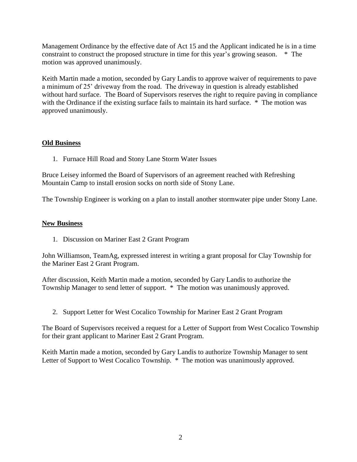Management Ordinance by the effective date of Act 15 and the Applicant indicated he is in a time constraint to construct the proposed structure in time for this year's growing season. \* The motion was approved unanimously.

Keith Martin made a motion, seconded by Gary Landis to approve waiver of requirements to pave a minimum of 25' driveway from the road. The driveway in question is already established without hard surface. The Board of Supervisors reserves the right to require paving in compliance with the Ordinance if the existing surface fails to maintain its hard surface. \* The motion was approved unanimously.

## **Old Business**

1. Furnace Hill Road and Stony Lane Storm Water Issues

Bruce Leisey informed the Board of Supervisors of an agreement reached with Refreshing Mountain Camp to install erosion socks on north side of Stony Lane.

The Township Engineer is working on a plan to install another stormwater pipe under Stony Lane.

#### **New Business**

1. Discussion on Mariner East 2 Grant Program

John Williamson, TeamAg, expressed interest in writing a grant proposal for Clay Township for the Mariner East 2 Grant Program.

After discussion, Keith Martin made a motion, seconded by Gary Landis to authorize the Township Manager to send letter of support. \* The motion was unanimously approved.

2. Support Letter for West Cocalico Township for Mariner East 2 Grant Program

The Board of Supervisors received a request for a Letter of Support from West Cocalico Township for their grant applicant to Mariner East 2 Grant Program.

Keith Martin made a motion, seconded by Gary Landis to authorize Township Manager to sent Letter of Support to West Cocalico Township. \* The motion was unanimously approved.